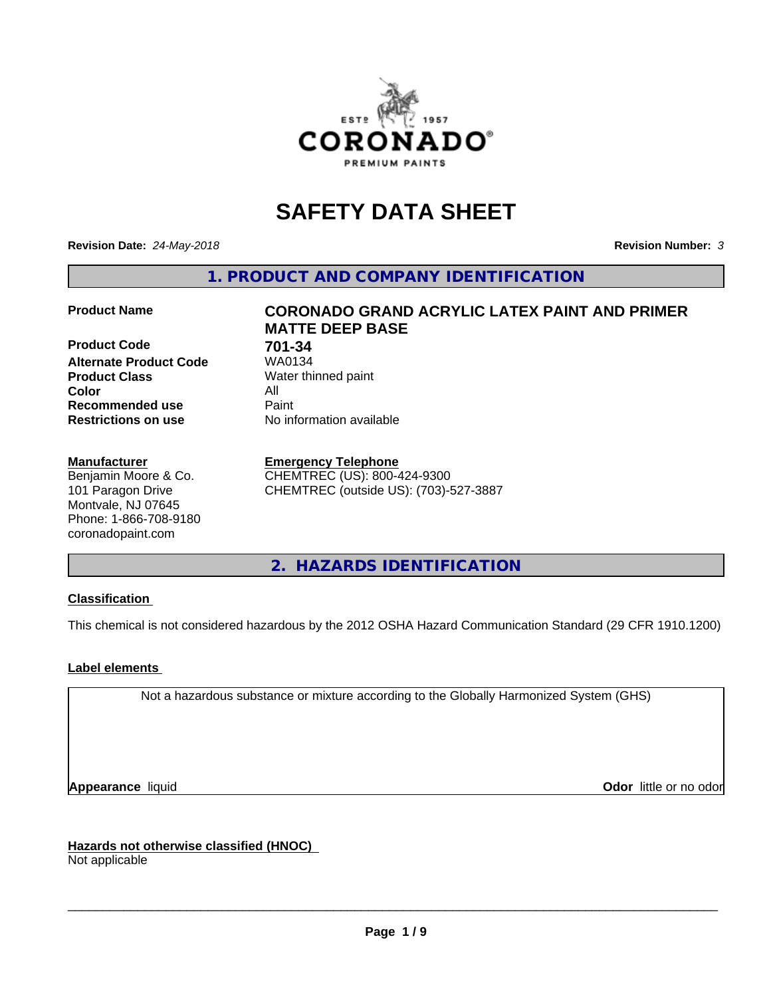

# **SAFETY DATA SHEET**

**Revision Date:** *24-May-2018* **Revision Number:** *3*

**1. PRODUCT AND COMPANY IDENTIFICATION**

**Product Code 61 701-34**<br>**Alternate Product Code 61 7040134 Alternate Product Code Product Class** Water thinned paint<br> **Color** All **Color** All **Recommended use Caint Restrictions on use** No information available

#### **Manufacturer**

Benjamin Moore & Co. 101 Paragon Drive Montvale, NJ 07645 Phone: 1-866-708-9180 coronadopaint.com

## **Product Name CORONADO GRAND ACRYLIC LATEX PAINT AND PRIMER MATTE DEEP BASE**

#### **Emergency Telephone**

CHEMTREC (US): 800-424-9300 CHEMTREC (outside US): (703)-527-3887

**2. HAZARDS IDENTIFICATION**

### **Classification**

This chemical is not considered hazardous by the 2012 OSHA Hazard Communication Standard (29 CFR 1910.1200)

### **Label elements**

Not a hazardous substance or mixture according to the Globally Harmonized System (GHS)

**Appearance** liquid **Contract Contract Contract Contract Contract Contract Contract Contract Contract Contract Contract Contract Contract Contract Contract Contract Contract Contract Contract Contract Contract Contract Con** 

**Hazards not otherwise classified (HNOC)**

Not applicable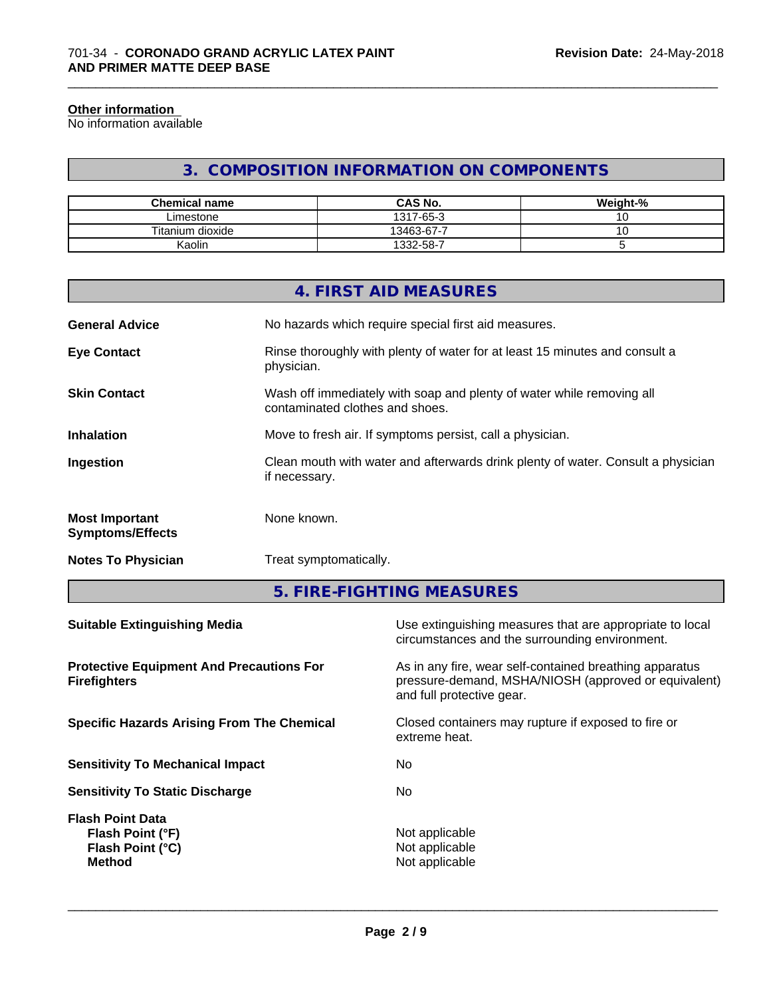#### **Other information**

No information available

## **3. COMPOSITION INFORMATION ON COMPONENTS**

\_\_\_\_\_\_\_\_\_\_\_\_\_\_\_\_\_\_\_\_\_\_\_\_\_\_\_\_\_\_\_\_\_\_\_\_\_\_\_\_\_\_\_\_\_\_\_\_\_\_\_\_\_\_\_\_\_\_\_\_\_\_\_\_\_\_\_\_\_\_\_\_\_\_\_\_\_\_\_\_\_\_\_\_\_\_\_\_\_\_\_\_\_

| <b>Chemical name</b> | <b>CAS No.</b> | Weight-% |
|----------------------|----------------|----------|
| Limestone            | 1317-65-3      | ັ        |
| Titanium dioxide     | 13463-67-7     | ັ        |
| Kaolin               | 1332-58-7      |          |

|                                                  | 4. FIRST AID MEASURES                                                                                    |
|--------------------------------------------------|----------------------------------------------------------------------------------------------------------|
| <b>General Advice</b>                            | No hazards which require special first aid measures.                                                     |
| <b>Eye Contact</b>                               | Rinse thoroughly with plenty of water for at least 15 minutes and consult a<br>physician.                |
| <b>Skin Contact</b>                              | Wash off immediately with soap and plenty of water while removing all<br>contaminated clothes and shoes. |
| <b>Inhalation</b>                                | Move to fresh air. If symptoms persist, call a physician.                                                |
| Ingestion                                        | Clean mouth with water and afterwards drink plenty of water. Consult a physician<br>if necessary.        |
| <b>Most Important</b><br><b>Symptoms/Effects</b> | None known.                                                                                              |
| <b>Notes To Physician</b>                        | Treat symptomatically.                                                                                   |
|                                                  |                                                                                                          |

**5. FIRE-FIGHTING MEASURES**

| Use extinguishing measures that are appropriate to local<br>circumstances and the surrounding environment.                                   |
|----------------------------------------------------------------------------------------------------------------------------------------------|
| As in any fire, wear self-contained breathing apparatus<br>pressure-demand, MSHA/NIOSH (approved or equivalent)<br>and full protective gear. |
| Closed containers may rupture if exposed to fire or<br>extreme heat.                                                                         |
| No.                                                                                                                                          |
| No.                                                                                                                                          |
| Not applicable<br>Not applicable<br>Not applicable                                                                                           |
|                                                                                                                                              |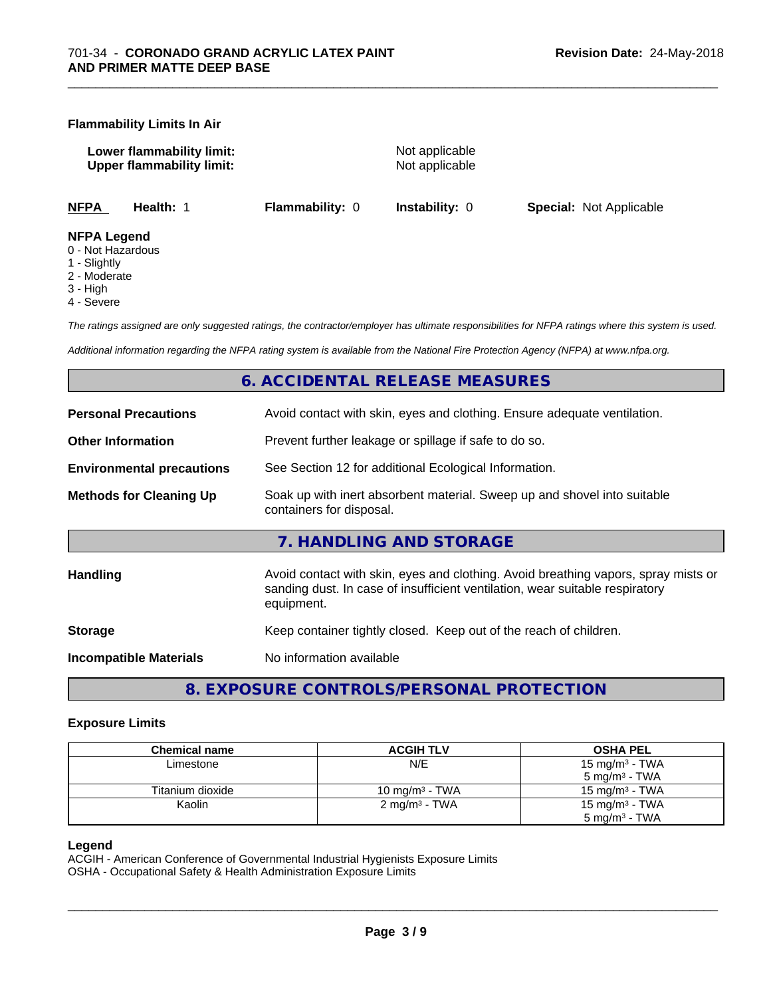#### **Flammability Limits In Air**

**Lower flammability limit:** Not applicable **Upper flammability limit:** Not applicable

\_\_\_\_\_\_\_\_\_\_\_\_\_\_\_\_\_\_\_\_\_\_\_\_\_\_\_\_\_\_\_\_\_\_\_\_\_\_\_\_\_\_\_\_\_\_\_\_\_\_\_\_\_\_\_\_\_\_\_\_\_\_\_\_\_\_\_\_\_\_\_\_\_\_\_\_\_\_\_\_\_\_\_\_\_\_\_\_\_\_\_\_\_

**NFPA Health:** 1 **Flammability:** 0 **Instability:** 0 **Special:** Not Applicable

#### **NFPA Legend**

- 0 Not Hazardous
- 1 Slightly
- 2 Moderate
- 3 High
- 4 Severe

*The ratings assigned are only suggested ratings, the contractor/employer has ultimate responsibilities for NFPA ratings where this system is used.*

*Additional information regarding the NFPA rating system is available from the National Fire Protection Agency (NFPA) at www.nfpa.org.*

## **6. ACCIDENTAL RELEASE MEASURES**

| <b>Personal Precautions</b>      | Avoid contact with skin, eyes and clothing. Ensure adequate ventilation.                                                                                                         |
|----------------------------------|----------------------------------------------------------------------------------------------------------------------------------------------------------------------------------|
| <b>Other Information</b>         | Prevent further leakage or spillage if safe to do so.                                                                                                                            |
| <b>Environmental precautions</b> | See Section 12 for additional Ecological Information.                                                                                                                            |
| <b>Methods for Cleaning Up</b>   | Soak up with inert absorbent material. Sweep up and shovel into suitable<br>containers for disposal.                                                                             |
|                                  | 7. HANDLING AND STORAGE                                                                                                                                                          |
| Handling                         | Avoid contact with skin, eyes and clothing. Avoid breathing vapors, spray mists or<br>sanding dust. In case of insufficient ventilation, wear suitable respiratory<br>equipment. |
| <b>Storage</b>                   | Keep container tightly closed. Keep out of the reach of children.                                                                                                                |
| <b>Incompatible Materials</b>    | No information available                                                                                                                                                         |
|                                  |                                                                                                                                                                                  |

**8. EXPOSURE CONTROLS/PERSONAL PROTECTION**

#### **Exposure Limits**

| <b>Chemical name</b> | <b>ACGIH TLV</b>          | <b>OSHA PEL</b>            |
|----------------------|---------------------------|----------------------------|
| Limestone            | N/E                       | 15 mg/m <sup>3</sup> - TWA |
|                      |                           | $5 \text{ mg/m}^3$ - TWA   |
| Titanium dioxide     | 10 mg/m $3$ - TWA         | 15 mg/m $3$ - TWA          |
| Kaolin               | 2 mg/m <sup>3</sup> - TWA | 15 mg/m $3$ - TWA          |
|                      |                           | $5 \text{ mg/m}^3$ - TWA   |

#### **Legend**

ACGIH - American Conference of Governmental Industrial Hygienists Exposure Limits OSHA - Occupational Safety & Health Administration Exposure Limits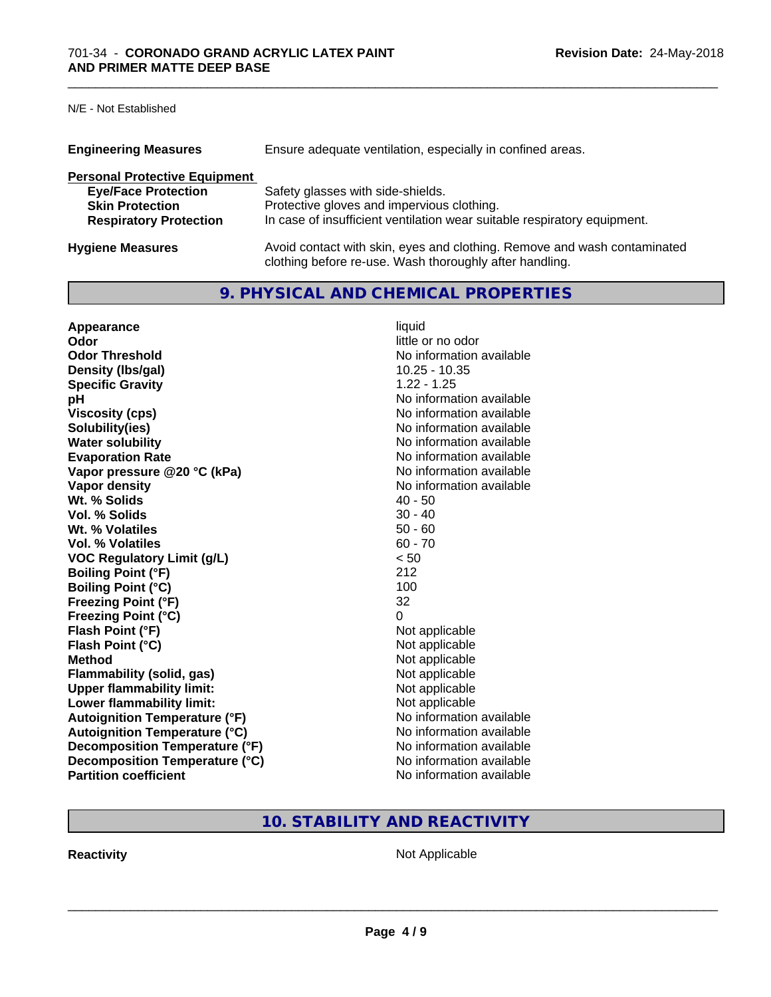N/E - Not Established

| <b>Engineering Measures</b><br>Ensure adequate ventilation, especially in confined areas. |                                                                                                                                     |  |
|-------------------------------------------------------------------------------------------|-------------------------------------------------------------------------------------------------------------------------------------|--|
| <b>Personal Protective Equipment</b>                                                      |                                                                                                                                     |  |
| <b>Eye/Face Protection</b>                                                                | Safety glasses with side-shields.                                                                                                   |  |
| <b>Skin Protection</b>                                                                    | Protective gloves and impervious clothing.                                                                                          |  |
| <b>Respiratory Protection</b>                                                             | In case of insufficient ventilation wear suitable respiratory equipment.                                                            |  |
| <b>Hygiene Measures</b>                                                                   | Avoid contact with skin, eyes and clothing. Remove and wash contaminated<br>clothing before re-use. Wash thoroughly after handling. |  |

## **9. PHYSICAL AND CHEMICAL PROPERTIES**

\_\_\_\_\_\_\_\_\_\_\_\_\_\_\_\_\_\_\_\_\_\_\_\_\_\_\_\_\_\_\_\_\_\_\_\_\_\_\_\_\_\_\_\_\_\_\_\_\_\_\_\_\_\_\_\_\_\_\_\_\_\_\_\_\_\_\_\_\_\_\_\_\_\_\_\_\_\_\_\_\_\_\_\_\_\_\_\_\_\_\_\_\_

| Appearance                           | liquid                   |
|--------------------------------------|--------------------------|
| Odor                                 | little or no odor        |
| <b>Odor Threshold</b>                | No information available |
| Density (Ibs/gal)                    | $10.25 - 10.35$          |
| <b>Specific Gravity</b>              | $1.22 - 1.25$            |
| рH                                   | No information available |
| <b>Viscosity (cps)</b>               | No information available |
| Solubility(ies)                      | No information available |
| <b>Water solubility</b>              | No information available |
| <b>Evaporation Rate</b>              | No information available |
| Vapor pressure @20 °C (kPa)          | No information available |
| Vapor density                        | No information available |
| Wt. % Solids                         | $40 - 50$                |
| Vol. % Solids                        | $30 - 40$                |
| Wt. % Volatiles                      | $50 - 60$                |
| Vol. % Volatiles                     | $60 - 70$                |
| <b>VOC Regulatory Limit (g/L)</b>    | < 50                     |
| <b>Boiling Point (°F)</b>            | 212                      |
| <b>Boiling Point (°C)</b>            | 100                      |
| <b>Freezing Point (°F)</b>           | 32                       |
| <b>Freezing Point (°C)</b>           | 0                        |
| Flash Point (°F)                     | Not applicable           |
| Flash Point (°C)                     | Not applicable           |
| <b>Method</b>                        | Not applicable           |
| <b>Flammability (solid, gas)</b>     | Not applicable           |
| <b>Upper flammability limit:</b>     | Not applicable           |
| Lower flammability limit:            | Not applicable           |
| <b>Autoignition Temperature (°F)</b> | No information available |
| <b>Autoignition Temperature (°C)</b> | No information available |
| Decomposition Temperature (°F)       | No information available |
| Decomposition Temperature (°C)       | No information available |
| <b>Partition coefficient</b>         | No information available |

## **10. STABILITY AND REACTIVITY**

**Reactivity Not Applicable** Not Applicable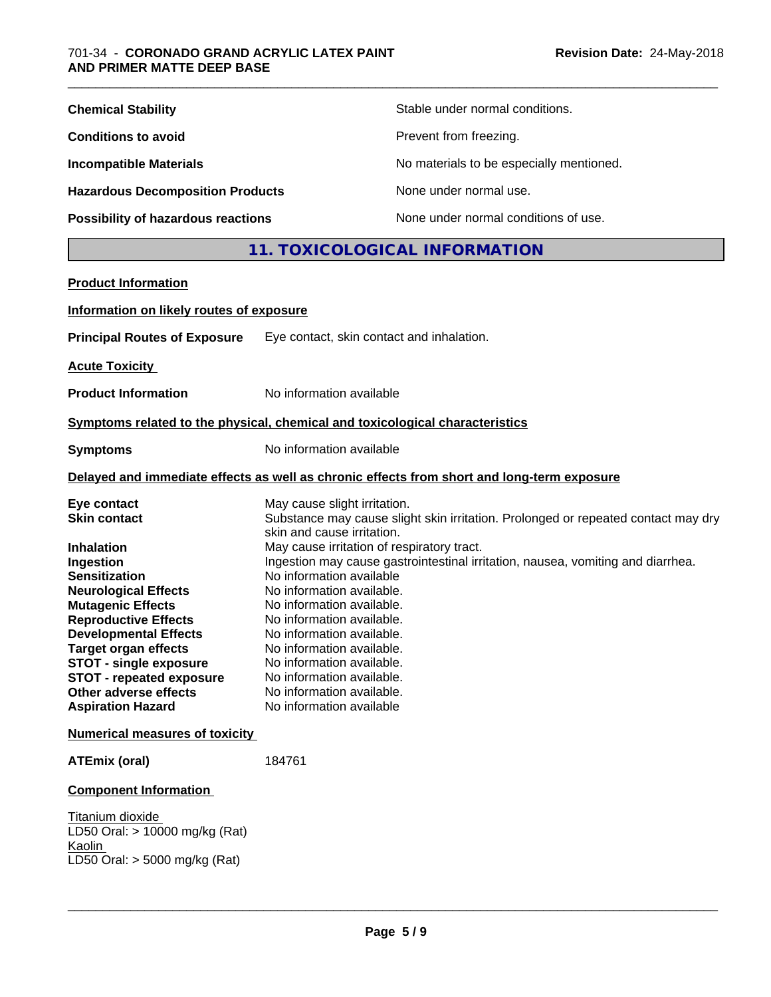| <b>Chemical Stability</b>                                                                                                                                                                                                                                                      |                                                                                                                                                                                                                                                                                              | Stable under normal conditions.                                                                                                                                      |
|--------------------------------------------------------------------------------------------------------------------------------------------------------------------------------------------------------------------------------------------------------------------------------|----------------------------------------------------------------------------------------------------------------------------------------------------------------------------------------------------------------------------------------------------------------------------------------------|----------------------------------------------------------------------------------------------------------------------------------------------------------------------|
| <b>Conditions to avoid</b>                                                                                                                                                                                                                                                     |                                                                                                                                                                                                                                                                                              | Prevent from freezing.                                                                                                                                               |
| <b>Incompatible Materials</b>                                                                                                                                                                                                                                                  |                                                                                                                                                                                                                                                                                              | No materials to be especially mentioned.                                                                                                                             |
| <b>Hazardous Decomposition Products</b>                                                                                                                                                                                                                                        |                                                                                                                                                                                                                                                                                              | None under normal use.                                                                                                                                               |
| Possibility of hazardous reactions                                                                                                                                                                                                                                             |                                                                                                                                                                                                                                                                                              | None under normal conditions of use.                                                                                                                                 |
|                                                                                                                                                                                                                                                                                |                                                                                                                                                                                                                                                                                              | 11. TOXICOLOGICAL INFORMATION                                                                                                                                        |
| <b>Product Information</b>                                                                                                                                                                                                                                                     |                                                                                                                                                                                                                                                                                              |                                                                                                                                                                      |
| Information on likely routes of exposure                                                                                                                                                                                                                                       |                                                                                                                                                                                                                                                                                              |                                                                                                                                                                      |
| <b>Principal Routes of Exposure</b>                                                                                                                                                                                                                                            |                                                                                                                                                                                                                                                                                              | Eye contact, skin contact and inhalation.                                                                                                                            |
| <b>Acute Toxicity</b>                                                                                                                                                                                                                                                          |                                                                                                                                                                                                                                                                                              |                                                                                                                                                                      |
| <b>Product Information</b>                                                                                                                                                                                                                                                     | No information available                                                                                                                                                                                                                                                                     |                                                                                                                                                                      |
| Symptoms related to the physical, chemical and toxicological characteristics                                                                                                                                                                                                   |                                                                                                                                                                                                                                                                                              |                                                                                                                                                                      |
| Symptoms                                                                                                                                                                                                                                                                       | No information available                                                                                                                                                                                                                                                                     |                                                                                                                                                                      |
|                                                                                                                                                                                                                                                                                |                                                                                                                                                                                                                                                                                              | Delayed and immediate effects as well as chronic effects from short and long-term exposure                                                                           |
| Eye contact<br><b>Skin contact</b><br>Inhalation<br>Ingestion<br><b>Sensitization</b>                                                                                                                                                                                          | May cause slight irritation.<br>skin and cause irritation.<br>May cause irritation of respiratory tract.                                                                                                                                                                                     | Substance may cause slight skin irritation. Prolonged or repeated contact may dry<br>Ingestion may cause gastrointestinal irritation, nausea, vomiting and diarrhea. |
| <b>Neurological Effects</b><br><b>Mutagenic Effects</b><br><b>Reproductive Effects</b><br><b>Developmental Effects</b><br><b>Target organ effects</b><br><b>STOT - single exposure</b><br><b>STOT - repeated exposure</b><br>Other adverse effects<br><b>Aspiration Hazard</b> | No information available<br>No information available.<br>No information available.<br>No information available.<br>No information available.<br>No information available.<br>No information available.<br>No information available.<br>No information available.<br>No information available |                                                                                                                                                                      |
| <b>Numerical measures of toxicity</b>                                                                                                                                                                                                                                          |                                                                                                                                                                                                                                                                                              |                                                                                                                                                                      |
| ATEmix (oral)                                                                                                                                                                                                                                                                  | 184761                                                                                                                                                                                                                                                                                       |                                                                                                                                                                      |
| <b>Component Information</b>                                                                                                                                                                                                                                                   |                                                                                                                                                                                                                                                                                              |                                                                                                                                                                      |
| Titanium dioxide<br>LD50 Oral: > 10000 mg/kg (Rat)<br>Kaolin<br>LD50 Oral: > 5000 mg/kg (Rat)                                                                                                                                                                                  |                                                                                                                                                                                                                                                                                              |                                                                                                                                                                      |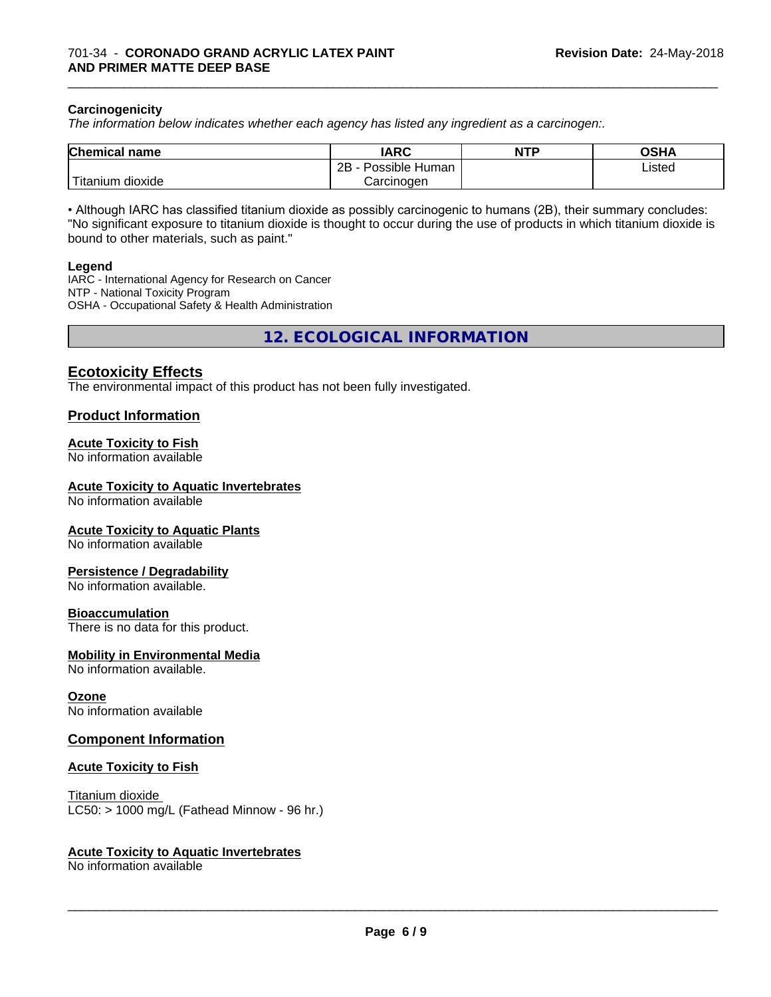#### **Carcinogenicity**

*The information below indicateswhether each agency has listed any ingredient as a carcinogen:.*

| <b>Chemical name</b>        | <b>IARC</b>                 | <b>NTP</b> | <b>OSHA</b> |
|-----------------------------|-----------------------------|------------|-------------|
|                             | . .<br>2B<br>Possible Human |            | Listed      |
| l mu<br>dioxide<br>Fitanium | Carcinogen                  |            |             |

\_\_\_\_\_\_\_\_\_\_\_\_\_\_\_\_\_\_\_\_\_\_\_\_\_\_\_\_\_\_\_\_\_\_\_\_\_\_\_\_\_\_\_\_\_\_\_\_\_\_\_\_\_\_\_\_\_\_\_\_\_\_\_\_\_\_\_\_\_\_\_\_\_\_\_\_\_\_\_\_\_\_\_\_\_\_\_\_\_\_\_\_\_

• Although IARC has classified titanium dioxide as possibly carcinogenic to humans (2B), their summary concludes: "No significant exposure to titanium dioxide is thought to occur during the use of products in which titanium dioxide is bound to other materials, such as paint."

#### **Legend**

IARC - International Agency for Research on Cancer NTP - National Toxicity Program OSHA - Occupational Safety & Health Administration

**12. ECOLOGICAL INFORMATION**

#### **Ecotoxicity Effects**

The environmental impact of this product has not been fully investigated.

#### **Product Information**

#### **Acute Toxicity to Fish**

No information available

#### **Acute Toxicity to Aquatic Invertebrates**

No information available

#### **Acute Toxicity to Aquatic Plants**

No information available

#### **Persistence / Degradability**

No information available.

#### **Bioaccumulation**

There is no data for this product.

#### **Mobility in Environmental Media**

No information available.

#### **Ozone**

No information available

#### **Component Information**

#### **Acute Toxicity to Fish**

Titanium dioxide  $LC50:$  > 1000 mg/L (Fathead Minnow - 96 hr.)

#### **Acute Toxicity to Aquatic Invertebrates**

No information available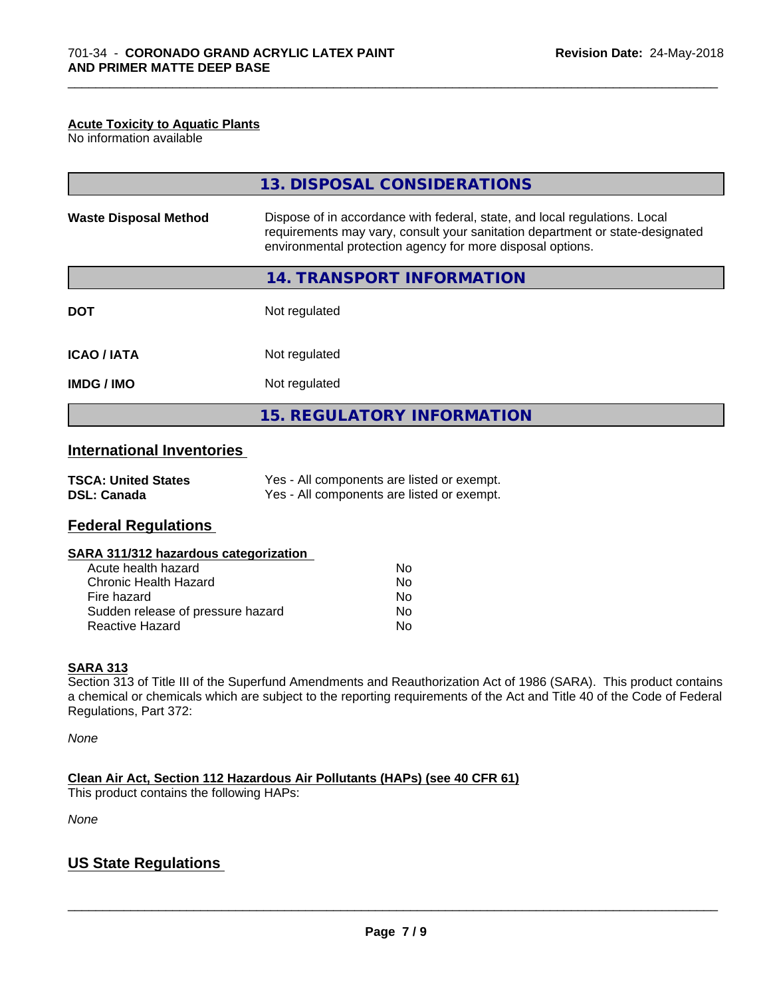#### **Acute Toxicity to Aquatic Plants**

No information available

|                              | 13. DISPOSAL CONSIDERATIONS                                                                                                                                                                                               |
|------------------------------|---------------------------------------------------------------------------------------------------------------------------------------------------------------------------------------------------------------------------|
| <b>Waste Disposal Method</b> | Dispose of in accordance with federal, state, and local regulations. Local<br>requirements may vary, consult your sanitation department or state-designated<br>environmental protection agency for more disposal options. |
|                              | 14. TRANSPORT INFORMATION                                                                                                                                                                                                 |
| <b>DOT</b>                   | Not regulated                                                                                                                                                                                                             |
| <b>ICAO/IATA</b>             | Not regulated                                                                                                                                                                                                             |
| <b>IMDG / IMO</b>            | Not regulated                                                                                                                                                                                                             |
|                              | <b>15. REGULATORY INFORMATION</b>                                                                                                                                                                                         |

\_\_\_\_\_\_\_\_\_\_\_\_\_\_\_\_\_\_\_\_\_\_\_\_\_\_\_\_\_\_\_\_\_\_\_\_\_\_\_\_\_\_\_\_\_\_\_\_\_\_\_\_\_\_\_\_\_\_\_\_\_\_\_\_\_\_\_\_\_\_\_\_\_\_\_\_\_\_\_\_\_\_\_\_\_\_\_\_\_\_\_\_\_

## **International Inventories**

| <b>TSCA: United States</b> | Yes - All components are listed or exempt. |
|----------------------------|--------------------------------------------|
| <b>DSL: Canada</b>         | Yes - All components are listed or exempt. |

### **Federal Regulations**

#### **SARA 311/312 hazardous categorization**

| Acute health hazard               | No |
|-----------------------------------|----|
| Chronic Health Hazard             | No |
| Fire hazard                       | Nο |
| Sudden release of pressure hazard | Nο |
| Reactive Hazard                   | Nο |

#### **SARA 313**

Section 313 of Title III of the Superfund Amendments and Reauthorization Act of 1986 (SARA). This product contains a chemical or chemicals which are subject to the reporting requirements of the Act and Title 40 of the Code of Federal Regulations, Part 372:

*None*

**Clean Air Act,Section 112 Hazardous Air Pollutants (HAPs) (see 40 CFR 61)**

This product contains the following HAPs:

*None*

## **US State Regulations**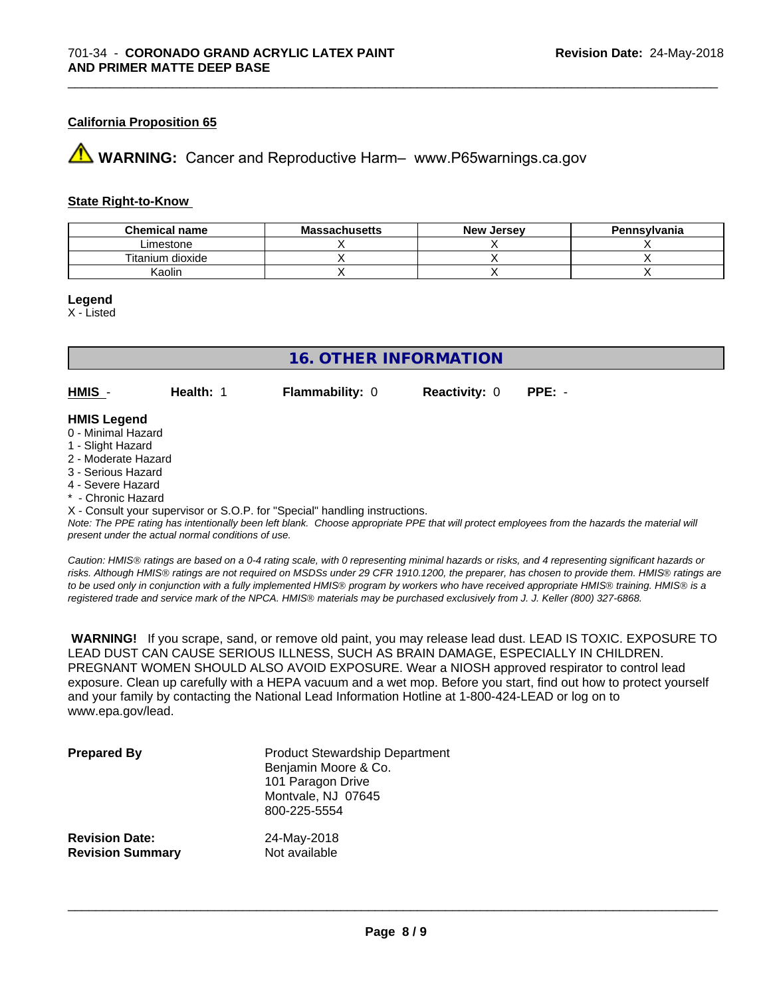#### **California Proposition 65**

**A** WARNING: Cancer and Reproductive Harm– www.P65warnings.ca.gov

#### **State Right-to-Know**

| <b>Chemical name</b> | <b>Massachusetts</b> | <b>New Jersey</b> | Pennsylvania |
|----------------------|----------------------|-------------------|--------------|
| Limestone            |                      |                   |              |
| Titanium dioxide     |                      |                   |              |
| Kaolin               |                      |                   |              |

\_\_\_\_\_\_\_\_\_\_\_\_\_\_\_\_\_\_\_\_\_\_\_\_\_\_\_\_\_\_\_\_\_\_\_\_\_\_\_\_\_\_\_\_\_\_\_\_\_\_\_\_\_\_\_\_\_\_\_\_\_\_\_\_\_\_\_\_\_\_\_\_\_\_\_\_\_\_\_\_\_\_\_\_\_\_\_\_\_\_\_\_\_

**Legend**

X - Listed

## **16. OTHER INFORMATION**

**HMIS** - **Health:** 1 **Flammability:** 0 **Reactivity:** 0 **PPE:** -

#### **HMIS Legend**

- 0 Minimal Hazard
- 1 Slight Hazard
- 2 Moderate Hazard
- 3 Serious Hazard
- 4 Severe Hazard
- \* Chronic Hazard
- X Consult your supervisor or S.O.P. for "Special" handling instructions.

*Note: The PPE rating has intentionally been left blank. Choose appropriate PPE that will protect employees from the hazards the material will present under the actual normal conditions of use.*

*Caution: HMISÒ ratings are based on a 0-4 rating scale, with 0 representing minimal hazards or risks, and 4 representing significant hazards or risks. Although HMISÒ ratings are not required on MSDSs under 29 CFR 1910.1200, the preparer, has chosen to provide them. HMISÒ ratings are to be used only in conjunction with a fully implemented HMISÒ program by workers who have received appropriate HMISÒ training. HMISÒ is a registered trade and service mark of the NPCA. HMISÒ materials may be purchased exclusively from J. J. Keller (800) 327-6868.*

 **WARNING!** If you scrape, sand, or remove old paint, you may release lead dust. LEAD IS TOXIC. EXPOSURE TO LEAD DUST CAN CAUSE SERIOUS ILLNESS, SUCH AS BRAIN DAMAGE, ESPECIALLY IN CHILDREN. PREGNANT WOMEN SHOULD ALSO AVOID EXPOSURE.Wear a NIOSH approved respirator to control lead exposure. Clean up carefully with a HEPA vacuum and a wet mop. Before you start, find out how to protect yourself and your family by contacting the National Lead Information Hotline at 1-800-424-LEAD or log on to www.epa.gov/lead.

| <b>Prepared By</b>      | <b>Product Stewardship Department</b><br>Benjamin Moore & Co.<br>101 Paragon Drive<br>Montvale, NJ 07645<br>800-225-5554 |  |
|-------------------------|--------------------------------------------------------------------------------------------------------------------------|--|
| <b>Revision Date:</b>   | 24-May-2018                                                                                                              |  |
| <b>Revision Summary</b> | Not available                                                                                                            |  |